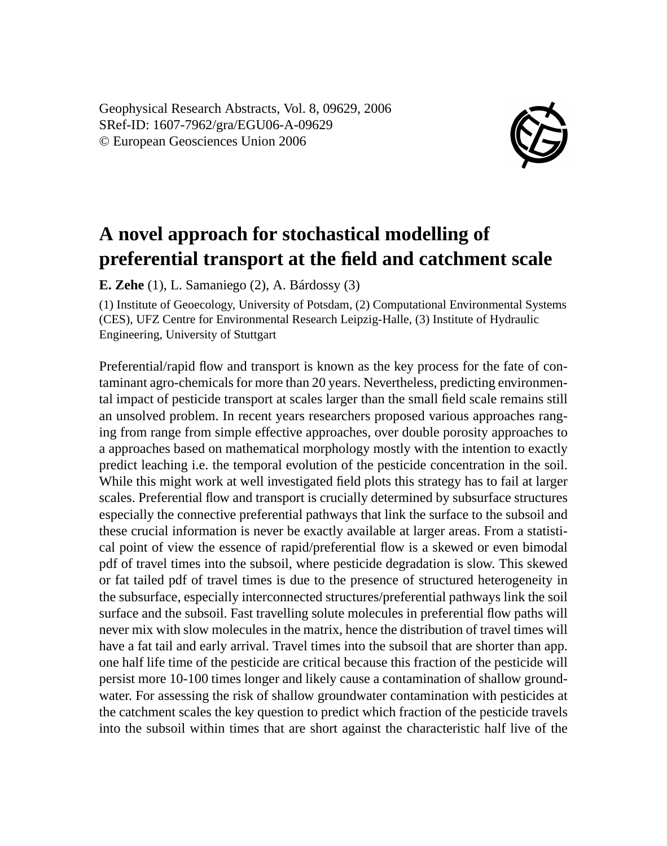Geophysical Research Abstracts, Vol. 8, 09629, 2006 SRef-ID: 1607-7962/gra/EGU06-A-09629 © European Geosciences Union 2006



## **A novel approach for stochastical modelling of preferential transport at the field and catchment scale**

**E. Zehe** (1), L. Samaniego (2), A. Bárdossy (3)

(1) Institute of Geoecology, University of Potsdam, (2) Computational Environmental Systems (CES), UFZ Centre for Environmental Research Leipzig-Halle, (3) Institute of Hydraulic Engineering, University of Stuttgart

Preferential/rapid flow and transport is known as the key process for the fate of contaminant agro-chemicals for more than 20 years. Nevertheless, predicting environmental impact of pesticide transport at scales larger than the small field scale remains still an unsolved problem. In recent years researchers proposed various approaches ranging from range from simple effective approaches, over double porosity approaches to a approaches based on mathematical morphology mostly with the intention to exactly predict leaching i.e. the temporal evolution of the pesticide concentration in the soil. While this might work at well investigated field plots this strategy has to fail at larger scales. Preferential flow and transport is crucially determined by subsurface structures especially the connective preferential pathways that link the surface to the subsoil and these crucial information is never be exactly available at larger areas. From a statistical point of view the essence of rapid/preferential flow is a skewed or even bimodal pdf of travel times into the subsoil, where pesticide degradation is slow. This skewed or fat tailed pdf of travel times is due to the presence of structured heterogeneity in the subsurface, especially interconnected structures/preferential pathways link the soil surface and the subsoil. Fast travelling solute molecules in preferential flow paths will never mix with slow molecules in the matrix, hence the distribution of travel times will have a fat tail and early arrival. Travel times into the subsoil that are shorter than app. one half life time of the pesticide are critical because this fraction of the pesticide will persist more 10-100 times longer and likely cause a contamination of shallow groundwater. For assessing the risk of shallow groundwater contamination with pesticides at the catchment scales the key question to predict which fraction of the pesticide travels into the subsoil within times that are short against the characteristic half live of the